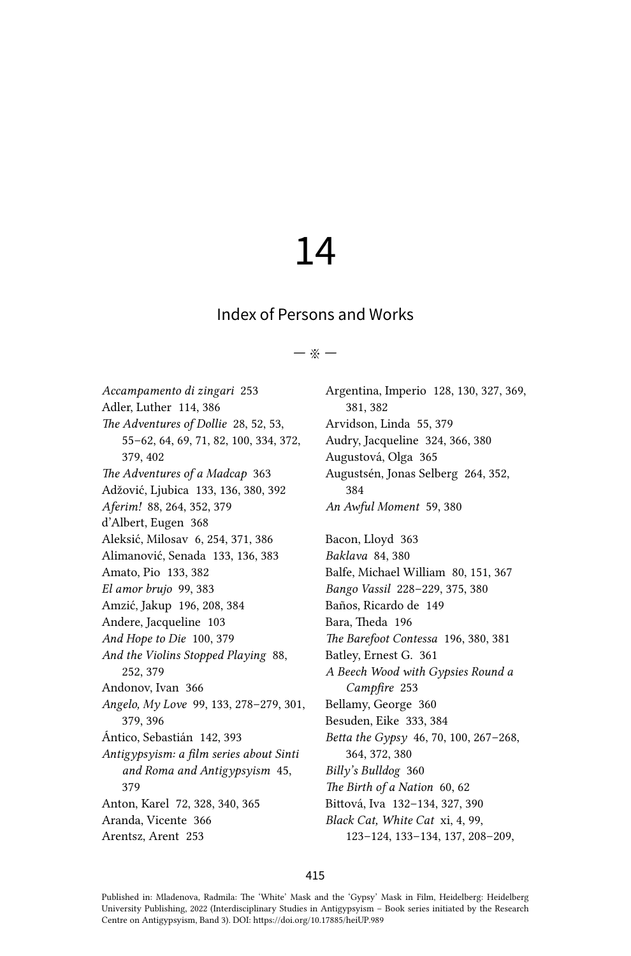# 14

# Index of Persons and Works

#### $\ddot{x}$   $-$

Accampamento di zingari 253 Adler, Luther 114, 386 The Adventures of Dollie 28, 52, 53, 55-62, 64, 69, 71, 82, 100, 334, 372, 379, 402 The Adventures of a Madcap 363 Adžović, Ljubica 133, 136, 380, 392 Aferim! 88, 264, 352, 379 d'Albert, Eugen 368 Aleksić, Milosav 6, 254, 371, 386 Alimanović, Senada 133, 136, 383 Amato, Pio 133, 382 El amor brujo 99, 383 Amzić, Jakup 196, 208, 384 Andere, Jacqueline 103 And Hope to Die 100, 379 And the Violins Stopped Playing 88, 252, 379 Andonov, Ivan 366 Angelo, My Love 99, 133, 278-279, 301, 379.396 Ántico, Sebastián 142, 393 Antigypsyism: a film series about Sinti and Roma and Antigypsyism 45, 379 Anton, Karel 72, 328, 340, 365 Aranda, Vicente 366 Arentsz, Arent 253

Argentina, Imperio 128, 130, 327, 369, 381.382 Arvidson, Linda 55, 379 Audry, Jacqueline 324, 366, 380 Augustová, Olga 365 Augustsén, Jonas Selberg 264, 352, 384 An Awful Moment 59, 380 Bacon, Lloyd 363 Baklava 84, 380 Balfe, Michael William 80, 151, 367 Bango Vassil 228-229, 375, 380 Baños, Ricardo de 149 Bara, Theda 196 The Barefoot Contessa 196, 380, 381 Batley, Ernest G. 361 A Beech Wood with Gypsies Round a Campfire 253 Bellamy, George 360 Besuden, Eike 333, 384 Betta the Gypsy 46, 70, 100, 267-268, 364, 372, 380 Billy's Bulldog 360 The Birth of a Nation 60, 62 Bittová, Iva 132-134, 327, 390 Black Cat, White Cat xi, 4, 99, 123-124, 133-134, 137, 208-209,

## 415

Published in: Mladenova, Radmila: The 'White' Mask and the 'Gypsy' Mask in Film, Heidelberg: Heidelberg University Publishing, 2022 (Interdisciplinary Studies in Antigypsyism - Book series initiated by the Research Centre on Antigypsyism, Band 3). DOI: https://doi.org/10.17885/heiUP.989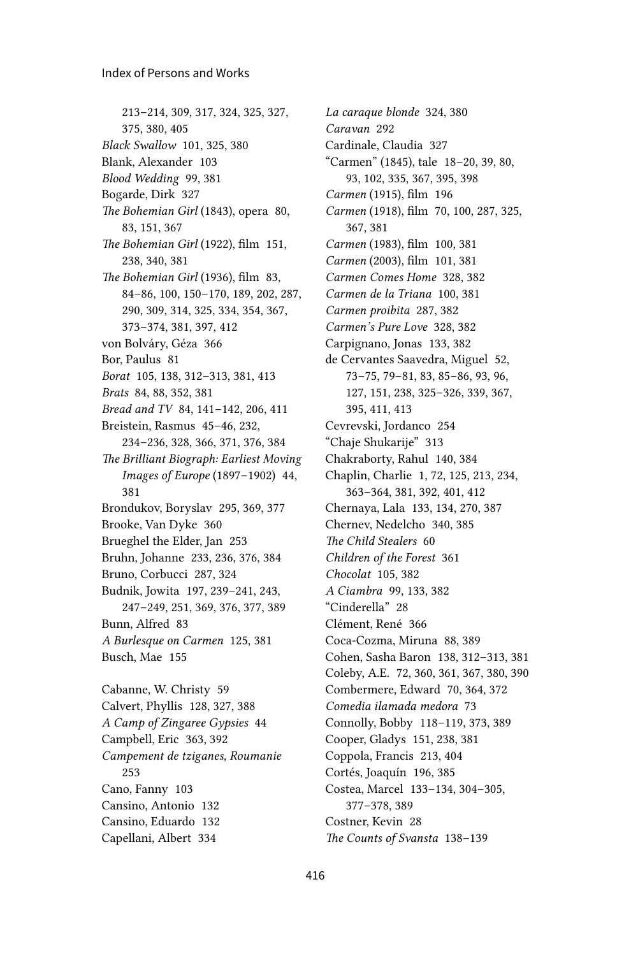213–214, 309, 317, 324, 325, 327, 375, 380, 405 *Black Swallow* 101, 325, 380 Blank, Alexander 103 *Blood Wedding* 99, 381 Bogarde, Dirk 327 *The Bohemian Girl* (1843), opera 80, 83, 151, 367 *The Bohemian Girl* (1922), film 151, 238, 340, 381 *The Bohemian Girl* (1936), film 83, 84–86, 100, 150–170, 189, 202, 287, 290, 309, 314, 325, 334, 354, 367, 373–374, 381, 397, 412 von Bolváry, Géza 366 Bor, Paulus 81 *Borat* 105, 138, 312–313, 381, 413 *Brats* 84, 88, 352, 381 *Bread and TV* 84, 141–142, 206, 411 Breistein, Rasmus 45–46, 232, 234–236, 328, 366, 371, 376, 384 *The Brilliant Biograph: Earliest Moving Images of Europe* (1897–1902) 44, 381 Brondukov, Boryslav 295, 369, 377 Brooke, Van Dyke 360 Brueghel the Elder, Jan 253 Bruhn, Johanne 233, 236, 376, 384 Bruno, Corbucci 287, 324 Budnik, Jowita 197, 239–241, 243, 247–249, 251, 369, 376, 377, 389 Bunn, Alfred 83 *A Burlesque on Carmen* 125, 381 Busch, Mae 155 Cabanne, W. Christy 59 Calvert, Phyllis 128, 327, 388 *A Camp of Zingaree Gypsies* 44 Campbell, Eric 363, 392 *Campement de tziganes, Roumanie* 253 Cano, Fanny 103 Cansino, Antonio 132

Cansino, Eduardo 132 Capellani, Albert 334

*La caraque blonde* 324, 380 *Caravan* 292 Cardinale, Claudia 327 "Carmen" (1845), tale 18–20, 39, 80, 93, 102, 335, 367, 395, 398 *Carmen* (1915), film 196 *Carmen* (1918), film 70, 100, 287, 325, 367, 381 *Carmen* (1983), film 100, 381 *Carmen* (2003), film 101, 381 *Carmen Comes Home* 328, 382 *Carmen de la Triana* 100, 381 *Carmen proibita* 287, 382 *Carmen's Pure Love* 328, 382 Carpignano, Jonas 133, 382 de Cervantes Saavedra, Miguel 52, 73–75, 79–81, 83, 85–86, 93, 96, 127, 151, 238, 325–326, 339, 367, 395, 411, 413 Cevrevski, Jordanco 254 "Chaje Shukarije" 313 Chakraborty, Rahul 140, 384 Chaplin, Charlie 1, 72, 125, 213, 234, 363–364, 381, 392, 401, 412 Chernaya, Lala 133, 134, 270, 387 Chernev, Nedelcho 340, 385 *The Child Stealers* 60 *Children of the Forest* 361 *Chocolat* 105, 382 *A Ciambra* 99, 133, 382 "Cinderella" 28 Clément, René 366 Coca-Cozma, Miruna 88, 389 Cohen, Sasha Baron 138, 312–313, 381 Coleby, A.E. 72, 360, 361, 367, 380, 390 Combermere, Edward 70, 364, 372 *Comedia ilamada medora* 73 Connolly, Bobby 118–119, 373, 389 Cooper, Gladys 151, 238, 381 Coppola, Francis 213, 404 Cortés, Joaquín 196, 385 Costea, Marcel 133–134, 304–305, 377–378, 389 Costner, Kevin 28 *The Counts of Svansta* 138–139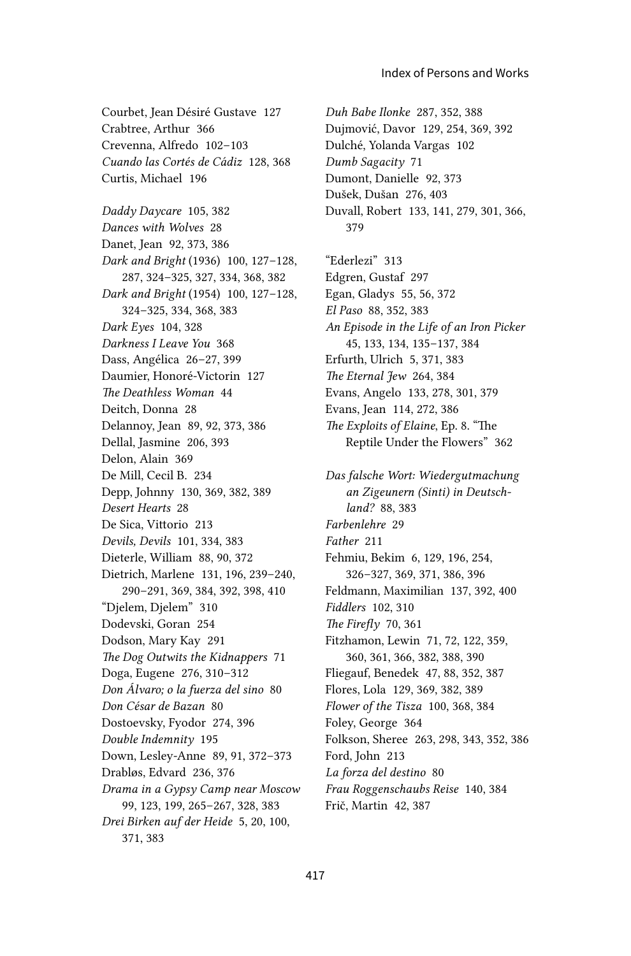*Duh Babe Ilonke* 287, 352, 388 Dujmović, Davor 129, 254, 369, 392 Dulché, Yolanda Vargas 102

Courbet, Jean Désiré Gustave 127 Crabtree, Arthur 366 Crevenna, Alfredo 102–103 *Cuando las Cortés de Cádiz* 128, 368 Curtis, Michael 196

*Daddy Daycare* 105, 382 *Dances with Wolves* 28 Danet, Jean 92, 373, 386 *Dark and Bright* (1936) 100, 127–128, 287, 324–325, 327, 334, 368, 382 *Dark and Bright* (1954) 100, 127–128, 324–325, 334, 368, 383 *Dark Eyes* 104, 328 *Darkness I Leave You* 368 Dass, Angélica 26–27, 399 Daumier, Honoré-Victorin 127 *The Deathless Woman* 44 Deitch, Donna 28 Delannoy, Jean 89, 92, 373, 386 Dellal, Jasmine 206, 393 Delon, Alain 369 De Mill, Cecil B. 234 Depp, Johnny 130, 369, 382, 389 *Desert Hearts* 28 De Sica, Vittorio 213 *Devils, Devils* 101, 334, 383 Dieterle, William 88, 90, 372 Dietrich, Marlene 131, 196, 239–240, 290–291, 369, 384, 392, 398, 410 "Djelem, Djelem" 310 Dodevski, Goran 254 Dodson, Mary Kay 291 *The Dog Outwits the Kidnappers* 71 Doga, Eugene 276, 310–312 *Don Álvaro; o la fuerza del sino* 80 *Don César de Bazan* 80 Dostoevsky, Fyodor 274, 396 *Double Indemnity* 195 Down, Lesley-Anne 89, 91, 372–373 Drabløs, Edvard 236, 376 *Drama in a Gypsy Camp near Moscow* 99, 123, 199, 265–267, 328, 383 *Drei Birken auf der Heide* 5, 20, 100, 371, 383

*Dumb Sagacity* 71 Dumont, Danielle 92, 373 Dušek, Dušan 276, 403 Duvall, Robert 133, 141, 279, 301, 366, 379 "Ederlezi" 313 Edgren, Gustaf 297 Egan, Gladys 55, 56, 372 *El Paso* 88, 352, 383 *An Episode in the Life of an Iron Picker* 45, 133, 134, 135–137, 384 Erfurth, Ulrich 5, 371, 383 *The Eternal Jew* 264, 384 Evans, Angelo 133, 278, 301, 379 Evans, Jean 114, 272, 386 *The Exploits of Elaine*, Ep. 8. "The Reptile Under the Flowers" 362 *Das falsche Wort: Wiedergutmachung an Zigeunern (Sinti) in Deutschland?* 88, 383 *Farbenlehre* 29 *Father* 211 Fehmiu, Bekim 6, 129, 196, 254, 326–327, 369, 371, 386, 396 Feldmann, Maximilian 137, 392, 400 *Fiddlers* 102, 310 *The Firefly* 70, 361 Fitzhamon, Lewin 71, 72, 122, 359, 360, 361, 366, 382, 388, 390 Fliegauf, Benedek 47, 88, 352, 387 Flores, Lola 129, 369, 382, 389 *Flower of the Tisza* 100, 368, 384 Foley, George 364 Folkson, Sheree 263, 298, 343, 352, 386 Ford, John 213 *La forza del destino* 80 *Frau Roggenschaubs Reise* 140, 384 Frič, Martin 42, 387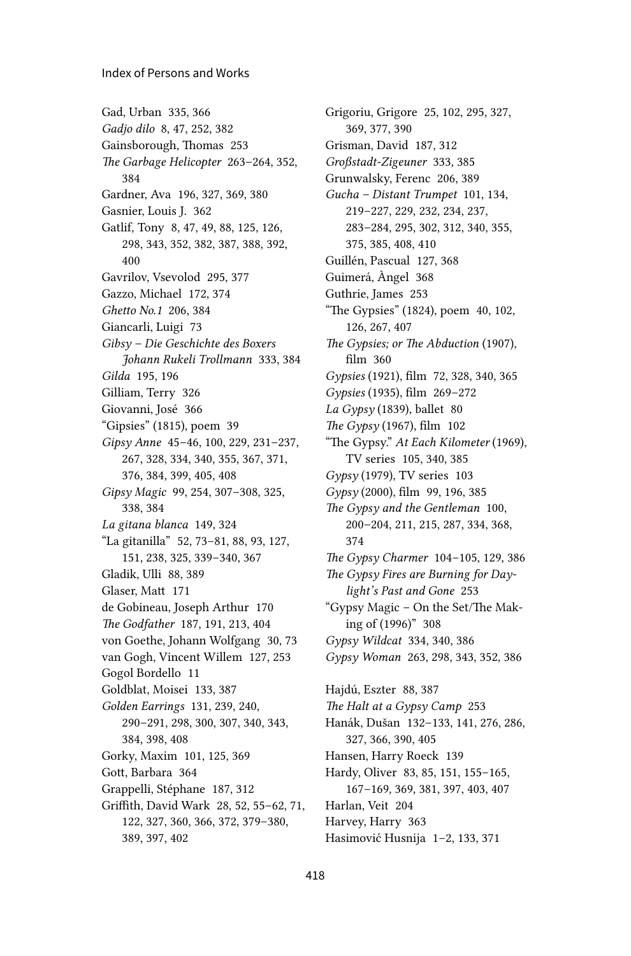#### Index of Persons and Works

Gad, Urban 335, 366 *Gadjo dilo* 8, 47, 252, 382 Gainsborough, Thomas 253 *The Garbage Helicopter* 263–264, 352, 384 Gardner, Ava 196, 327, 369, 380 Gasnier, Louis J. 362 Gatlif, Tony 8, 47, 49, 88, 125, 126, 298, 343, 352, 382, 387, 388, 392, 400 Gavrilov, Vsevolod 295, 377 Gazzo, Michael 172, 374 *Ghetto No.1* 206, 384 Giancarli, Luigi 73 *Gibsy – Die Geschichte des Boxers Johann Rukeli Trollmann* 333, 384 *Gilda* 195, 196 Gilliam, Terry 326 Giovanni, José 366 "Gipsies" (1815), poem 39 *Gipsy Anne* 45–46, 100, 229, 231–237, 267, 328, 334, 340, 355, 367, 371, 376, 384, 399, 405, 408 *Gipsy Magic* 99, 254, 307–308, 325, 338, 384 *La gitana blanca* 149, 324 "La gitanilla" 52, 73–81, 88, 93, 127, 151, 238, 325, 339–340, 367 Gladik, Ulli 88, 389 Glaser, Matt 171 de Gobineau, Joseph Arthur 170 *The Godfather* 187, 191, 213, 404 von Goethe, Johann Wolfgang 30, 73 van Gogh, Vincent Willem 127, 253 Gogol Bordello 11 Goldblat, Moisei 133, 387 *Golden Earrings* 131, 239, 240, 290–291, 298, 300, 307, 340, 343, 384, 398, 408 Gorky, Maxim 101, 125, 369 Gott, Barbara 364 Grappelli, Stéphane 187, 312 Griffith, David Wark 28, 52, 55–62, 71, 122, 327, 360, 366, 372, 379–380, 389, 397, 402

Grigoriu, Grigore 25, 102, 295, 327, 369, 377, 390 Grisman, David 187, 312 *Großstadt-Zigeuner* 333, 385 Grunwalsky, Ferenc 206, 389 *Gucha – Distant Trumpet* 101, 134, 219–227, 229, 232, 234, 237, 283–284, 295, 302, 312, 340, 355, 375, 385, 408, 410 Guillén, Pascual 127, 368 Guimerá, Àngel 368 Guthrie, James 253 "The Gypsies" (1824), poem 40, 102, 126, 267, 407 *The Gypsies; or The Abduction* (1907), film 360 *Gypsies* (1921), film 72, 328, 340, 365 *Gypsies* (1935), film 269–272 *La Gypsy* (1839), ballet 80 *The Gypsy* (1967), film 102 "The Gypsy." *At Each Kilometer* (1969), TV series 105, 340, 385 *Gypsy* (1979), TV series 103 *Gypsy* (2000), film 99, 196, 385 *The Gypsy and the Gentleman* 100, 200–204, 211, 215, 287, 334, 368, 374 *The Gypsy Charmer* 104–105, 129, 386 *The Gypsy Fires are Burning for Daylight's Past and Gone* 253 "Gypsy Magic – On the Set/The Making of (1996)" 308 *Gypsy Wildcat* 334, 340, 386 *Gypsy Woman* 263, 298, 343, 352, 386 Hajdú, Eszter 88, 387 *The Halt at a Gypsy Camp* 253 Hanák, Dušan 132–133, 141, 276, 286, 327, 366, 390, 405 Hansen, Harry Roeck 139 Hardy, Oliver 83, 85, 151, 155–165, 167–169, 369, 381, 397, 403, 407 Harlan, Veit 204 Harvey, Harry 363 Hasimović Husnija 1–2, 133, 371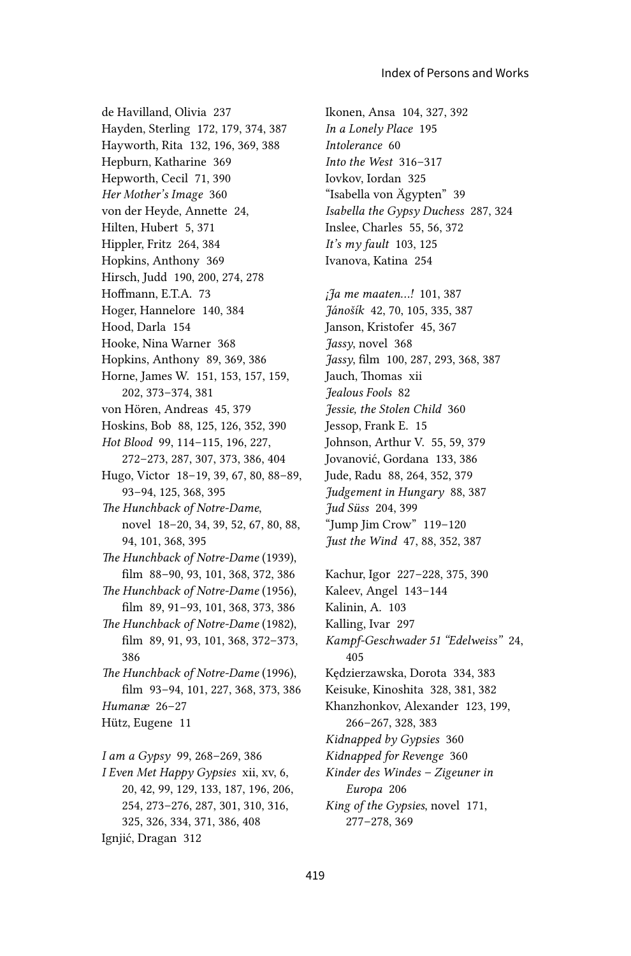de Havilland, Olivia 237 Hayden, Sterling 172, 179, 374, 387 Hayworth, Rita 132, 196, 369, 388 Hepburn, Katharine 369 Hepworth, Cecil 71, 390 *Her Mother's Image* 360 von der Heyde, Annette 24, Hilten, Hubert 5, 371 Hippler, Fritz 264, 384 Hopkins, Anthony 369 Hirsch, Judd 190, 200, 274, 278 Hoffmann, E.T.A. 73 Hoger, Hannelore 140, 384 Hood, Darla 154 Hooke, Nina Warner 368 Hopkins, Anthony 89, 369, 386 Horne, James W. 151, 153, 157, 159, 202, 373–374, 381 von Hören, Andreas 45, 379 Hoskins, Bob 88, 125, 126, 352, 390 *Hot Blood* 99, 114–115, 196, 227, 272–273, 287, 307, 373, 386, 404 Hugo, Victor 18–19, 39, 67, 80, 88–89, 93–94, 125, 368, 395 *The Hunchback of Notre-Dame*, novel 18–20, 34, 39, 52, 67, 80, 88, 94, 101, 368, 395 *The Hunchback of Notre-Dame* (1939), film 88–90, 93, 101, 368, 372, 386 *The Hunchback of Notre-Dame* (1956), film 89, 91–93, 101, 368, 373, 386 *The Hunchback of Notre-Dame* (1982), film 89, 91, 93, 101, 368, 372–373, 386 *The Hunchback of Notre-Dame* (1996), film 93–94, 101, 227, 368, 373, 386 *Humanæ* 26–27 Hütz, Eugene 11 *I am a Gypsy* 99, 268–269, 386 *I Even Met Happy Gypsies* xii, xv, 6, 20, 42, 99, 129, 133, 187, 196, 206, 254, 273–276, 287, 301, 310, 316, 325, 326, 334, 371, 386, 408

Ignjić, Dragan 312

Ikonen, Ansa 104, 327, 392 *In a Lonely Place* 195 *Intolerance* 60 *Into the West* 316–317 Iovkov, Iordan 325 "Isabella von Ägypten" 39 *Isabella the Gypsy Duchess* 287, 324 Inslee, Charles 55, 56, 372 *It's my fault* 103, 125 Ivanova, Katina 254

*¡Ja me maaten...!* 101, 387 *Jánošík* 42, 70, 105, 335, 387 Janson, Kristofer 45, 367 *Jassy*, novel 368 *Jassy*, film 100, 287, 293, 368, 387 Jauch, Thomas xii *Jealous Fools* 82 *Jessie, the Stolen Child* 360 Jessop, Frank E. 15 Johnson, Arthur V. 55, 59, 379 Jovanović, Gordana 133, 386 Jude, Radu 88, 264, 352, 379 *Judgement in Hungary* 88, 387 *Jud Süss* 204, 399 "Jump Jim Crow" 119–120 *Just the Wind* 47, 88, 352, 387

Kachur, Igor 227–228, 375, 390 Kaleev, Angel 143–144 Kalinin, A. 103 Kalling, Ivar 297 *Kampf-Geschwader 51 "Edelweiss"* 24, 405 Kędzierzawska, Dorota 334, 383 Keisuke, Kinoshita 328, 381, 382 Khanzhonkov, Alexander 123, 199, 266–267, 328, 383 *Kidnapped by Gypsies* 360 *Kidnapped for Revenge* 360 *Kinder des Windes – Zigeuner in Europa* 206 *King of the Gypsies*, novel 171, 277–278, 369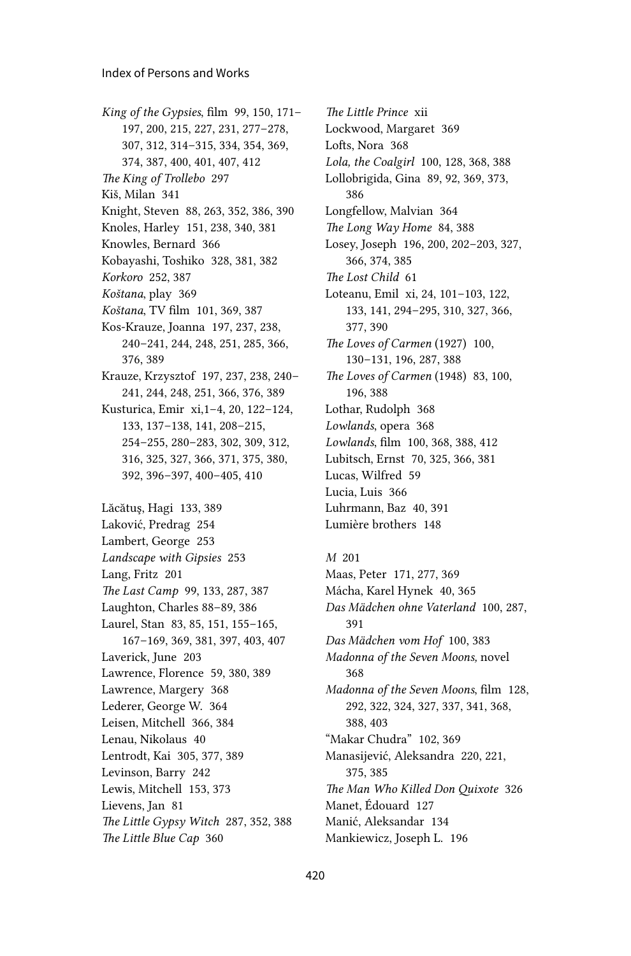*King of the Gypsies*, film 99, 150, 171– 197, 200, 215, 227, 231, 277–278, 307, 312, 314–315, 334, 354, 369, 374, 387, 400, 401, 407, 412 *The King of Trollebo* 297 Kiš, Milan 341 Knight, Steven 88, 263, 352, 386, 390 Knoles, Harley 151, 238, 340, 381 Knowles, Bernard 366 Kobayashi, Toshiko 328, 381, 382 *Korkoro* 252, 387 *Koštana*, play 369 *Koštana*, TV film 101, 369, 387 Kos-Krauze, Joanna 197, 237, 238, 240–241, 244, 248, 251, 285, 366, 376, 389 Krauze, Krzysztof 197, 237, 238, 240– 241, 244, 248, 251, 366, 376, 389 Kusturica, Emir xi,1–4, 20, 122–124, 133, 137–138, 141, 208–215, 254–255, 280–283, 302, 309, 312, 316, 325, 327, 366, 371, 375, 380, 392, 396–397, 400–405, 410 Lăcătuş, Hagi 133, 389 Laković, Predrag 254 Lambert, George 253 *Landscape with Gipsies* 253 Lang, Fritz 201 *The Last Camp* 99, 133, 287, 387 Laughton, Charles 88–89, 386 Laurel, Stan 83, 85, 151, 155–165, 167–169, 369, 381, 397, 403, 407 Laverick, June 203 Lawrence, Florence 59, 380, 389 Lawrence, Margery 368 Lederer, George W. 364 Leisen, Mitchell 366, 384 Lenau, Nikolaus 40 Lentrodt, Kai 305, 377, 389 Levinson, Barry 242 Lewis, Mitchell 153, 373 Lievens, Jan 81 *The Little Gypsy Witch* 287, 352, 388 *The Little Blue Cap* 360

*The Little Prince* xii Lockwood, Margaret 369 Lofts, Nora 368 *Lola, the Coalgirl* 100, 128, 368, 388 Lollobrigida, Gina 89, 92, 369, 373, 386 Longfellow, Malvian 364 *The Long Way Home* 84, 388 Losey, Joseph 196, 200, 202–203, 327, 366, 374, 385 *The Lost Child* 61 Loteanu, Emil xi, 24, 101–103, 122, 133, 141, 294–295, 310, 327, 366, 377, 390 *The Loves of Carmen* (1927) 100, 130–131, 196, 287, 388 *The Loves of Carmen* (1948) 83, 100, 196, 388 Lothar, Rudolph 368 *Lowlands*, opera 368 *Lowlands*, film 100, 368, 388, 412 Lubitsch, Ernst 70, 325, 366, 381 Lucas, Wilfred 59 Lucia, Luis 366 Luhrmann, Baz 40, 391 Lumière brothers 148

*M* 201 Maas, Peter 171, 277, 369 Mácha, Karel Hynek 40, 365 *Das Mädchen ohne Vaterland* 100, 287, 391 *Das Mädchen vom Hof* 100, 383 *Madonna of the Seven Moons,* novel 368 *Madonna of the Seven Moons*, film 128, 292, 322, 324, 327, 337, 341, 368, 388, 403 "Makar Chudra" 102, 369 Manasijević, Aleksandra 220, 221, 375, 385 *The Man Who Killed Don Quixote* 326 Manet, Édouard 127 Manić, Aleksandar 134 Mankiewicz, Joseph L. 196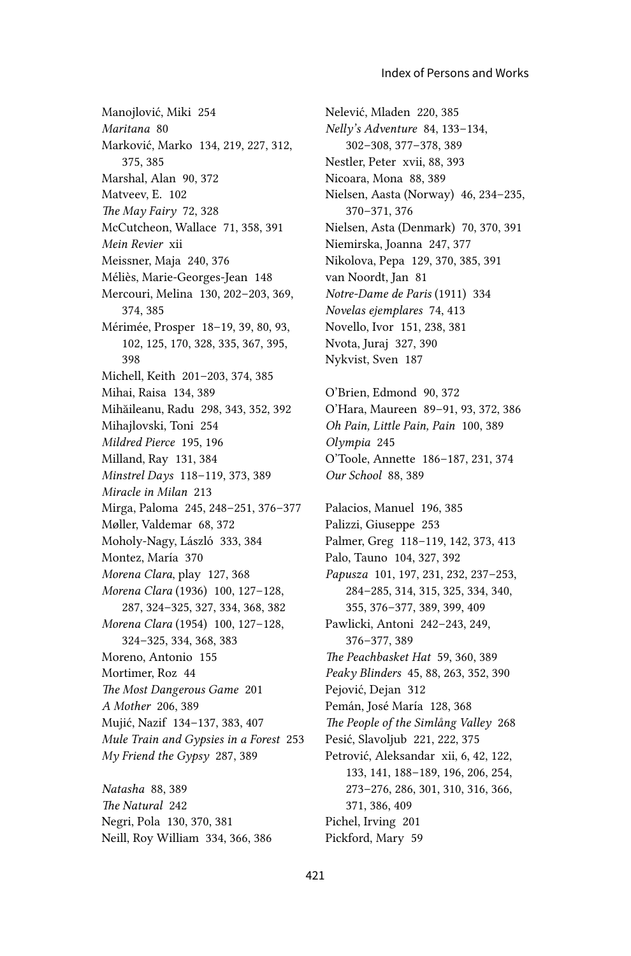Manojlović, Miki 254 *Maritana* 80 Marković, Marko 134, 219, 227, 312, 375, 385 Marshal, Alan 90, 372 Matveev, E. 102 *The May Fairy* 72, 328 McCutcheon, Wallace 71, 358, 391 *Mein Revier* xii Meissner, Maja 240, 376 Méliès, Marie-Georges-Jean 148 Mercouri, Melina 130, 202–203, 369, 374, 385 Mérimée, Prosper 18–19, 39, 80, 93, 102, 125, 170, 328, 335, 367, 395, 398 Michell, Keith 201–203, 374, 385 Mihai, Raisa 134, 389 Mihăileanu, Radu 298, 343, 352, 392 Mihajlovski, Toni 254 *Mildred Pierce* 195, 196 Milland, Ray 131, 384 *Minstrel Days* 118–119, 373, 389 *Miracle in Milan* 213 Mirga, Paloma 245, 248–251, 376–377 Møller, Valdemar 68, 372 Moholy-Nagy, László 333, 384 Montez, María 370 *Morena Clara*, play 127, 368 *Morena Clara* (1936) 100, 127–128, 287, 324–325, 327, 334, 368, 382 *Morena Clara* (1954) 100, 127–128, 324–325, 334, 368, 383 Moreno, Antonio 155 Mortimer, Roz 44 *The Most Dangerous Game* 201 *A Mother* 206, 389 Mujić, Nazif 134–137, 383, 407 *Mule Train and Gypsies in a Forest* 253 *My Friend the Gypsy* 287, 389 *Natasha* 88, 389

*The Natural* 242 Negri, Pola 130, 370, 381 Neill, Roy William 334, 366, 386 Nelević, Mladen 220, 385 *Nelly's Adventure* 84, 133–134, 302–308, 377–378, 389 Nestler, Peter xvii, 88, 393 Nicoara, Mona 88, 389 Nielsen, Aasta (Norway) 46, 234–235, 370–371, 376 Nielsen, Asta (Denmark) 70, 370, 391 Niemirska, Joanna 247, 377 Nikolova, Pepa 129, 370, 385, 391 van Noordt, Jan 81 *Notre-Dame de Paris* (1911) 334 *Novelas ejemplares* 74, 413 Novello, Ivor 151, 238, 381 Nvota, Juraj 327, 390 Nykvist, Sven 187 O'Brien, Edmond 90, 372 O'Hara, Maureen 89–91, 93, 372, 386 *Oh Pain, Little Pain, Pain* 100, 389 *Olympia* 245

O'Toole, Annette 186–187, 231, 374 *Our School* 88, 389

Palacios, Manuel 196, 385 Palizzi, Giuseppe 253 Palmer, Greg 118–119, 142, 373, 413 Palo, Tauno 104, 327, 392 *Papusza* 101, 197, 231, 232, 237–253, 284–285, 314, 315, 325, 334, 340, 355, 376–377, 389, 399, 409 Pawlicki, Antoni 242–243, 249, 376–377, 389 *The Peachbasket Hat* 59, 360, 389 *Peaky Blinders* 45, 88, 263, 352, 390 Pejović, Dejan 312 Pemán, José María 128, 368 *The People of the Simlång Valley* 268 Pesić, Slavoljub 221, 222, 375 Petrović, Aleksandar xii, 6, 42, 122, 133, 141, 188–189, 196, 206, 254, 273–276, 286, 301, 310, 316, 366, 371, 386, 409 Pichel, Irving 201 Pickford, Mary 59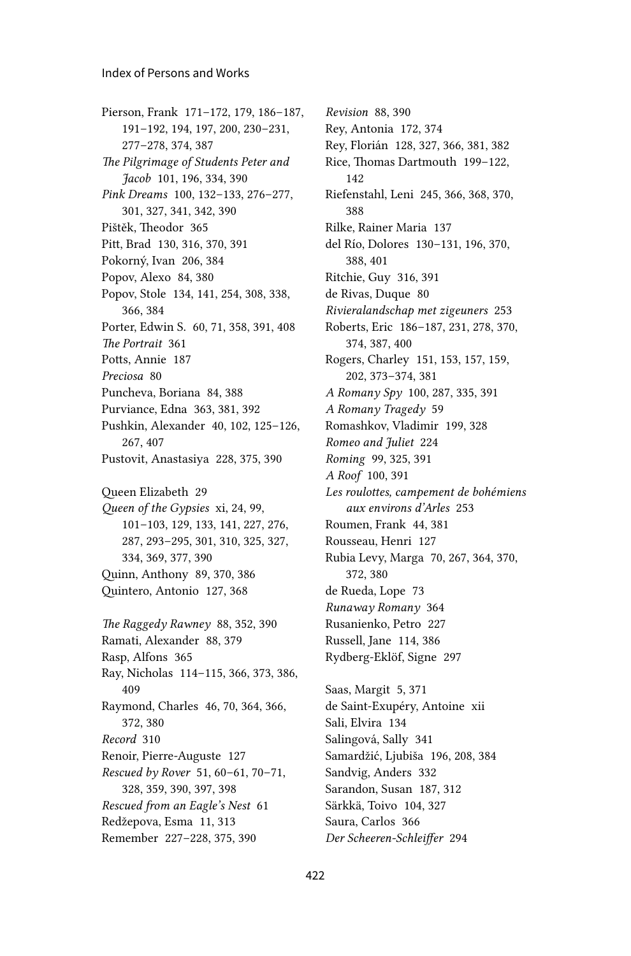Pierson, Frank 171–172, 179, 186–187, 191–192, 194, 197, 200, 230–231, 277–278, 374, 387 *The Pilgrimage of Students Peter and Jacob* 101, 196, 334, 390 *Pink Dreams* 100, 132–133, 276–277, 301, 327, 341, 342, 390 Pištěk, Theodor 365 Pitt, Brad 130, 316, 370, 391 Pokorný, Ivan 206, 384 Popov, Alexo 84, 380 Popov, Stole 134, 141, 254, 308, 338, 366, 384 Porter, Edwin S. 60, 71, 358, 391, 408 *The Portrait* 361 Potts, Annie 187 *Preciosa* 80 Puncheva, Boriana 84, 388 Purviance, Edna 363, 381, 392 Pushkin, Alexander 40, 102, 125–126, 267, 407 Pustovit, Anastasiya 228, 375, 390 Queen Elizabeth 29 *Queen of the Gypsies* xi, 24, 99, 101–103, 129, 133, 141, 227, 276, 287, 293–295, 301, 310, 325, 327, 334, 369, 377, 390 Quinn, Anthony 89, 370, 386 Quintero, Antonio 127, 368 *The Raggedy Rawney* 88, 352, 390 Ramati, Alexander 88, 379 Rasp, Alfons 365 Ray, Nicholas 114–115, 366, 373, 386, 409 Raymond, Charles 46, 70, 364, 366, 372, 380 *Record* 310 Renoir, Pierre-Auguste 127 *Rescued by Rover* 51, 60–61, 70–71, 328, 359, 390, 397, 398 *Rescued from an Eagle's Nest* 61 Redžepova, Esma 11, 313 Remember 227–228, 375, 390

*Revision* 88, 390 Rey, Antonia 172, 374 Rey, Florián 128, 327, 366, 381, 382 Rice, Thomas Dartmouth 199–122, 142 Riefenstahl, Leni 245, 366, 368, 370, 388 Rilke, Rainer Maria 137 del Río, Dolores 130–131, 196, 370, 388, 401 Ritchie, Guy 316, 391 de Rivas, Duque 80 *Rivieralandschap met zigeuners* 253 Roberts, Eric 186–187, 231, 278, 370, 374, 387, 400 Rogers, Charley 151, 153, 157, 159, 202, 373–374, 381 *A Romany Spy* 100, 287, 335, 391 *A Romany Tragedy* 59 Romashkov, Vladimir 199, 328 *Romeo and Juliet* 224 *Roming* 99, 325, 391 *A Roof* 100, 391 *Les roulottes, campement de bohémiens aux environs d'Arles* 253 Roumen, Frank 44, 381 Rousseau, Henri 127 Rubia Levy, Marga 70, 267, 364, 370, 372, 380 de Rueda, Lope 73 *Runaway Romany* 364 Rusanienko, Petro 227 Russell, Jane 114, 386 Rydberg-Eklöf, Signe 297 Saas, Margit 5, 371 de Saint-Exupéry, Antoine xii Sali, Elvira 134

422

Salingová, Sally 341

Sandvig, Anders 332 Sarandon, Susan 187, 312 Särkkä, Toivo 104, 327 Saura, Carlos 366

*Der Scheeren-Schleiffer* 294

Samardžić, Ljubiša 196, 208, 384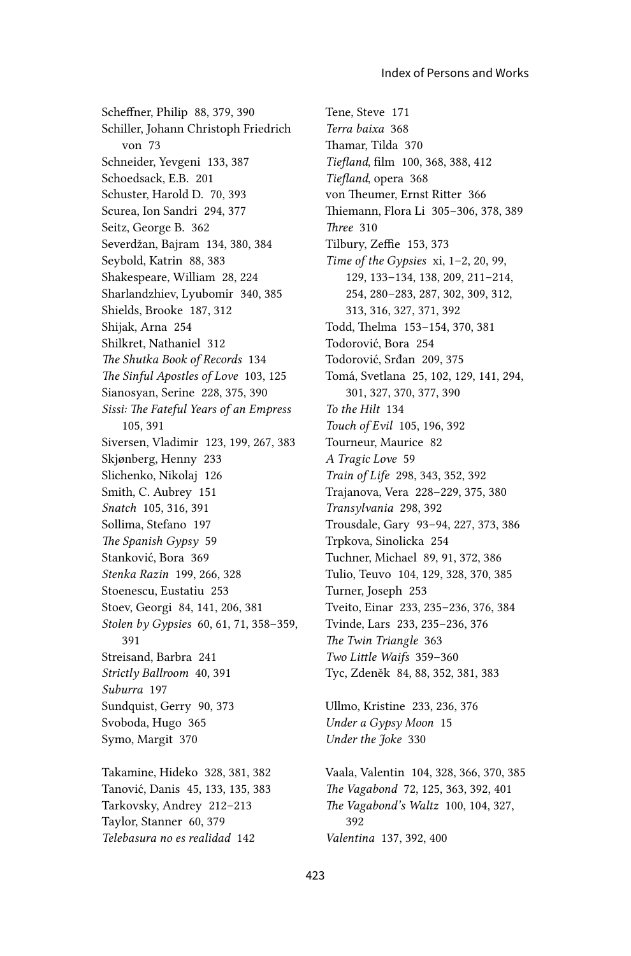Scheffner, Philip 88, 379, 390 Schiller, Johann Christoph Friedrich von 73 Schneider, Yevgeni 133, 387 Schoedsack, E.B. 201 Schuster, Harold D. 70, 393 Scurea, Ion Sandri 294, 377 Seitz, George B. 362 Severdžan, Bajram 134, 380, 384 Seybold, Katrin 88, 383 Shakespeare, William 28, 224 Sharlandzhiev, Lyubomir 340, 385 Shields, Brooke 187, 312 Shijak, Arna 254 Shilkret, Nathaniel 312 The Shutka Book of Records 134 The Sinful Apostles of Love 103, 125 Sianosyan, Serine 228, 375, 390 Sissi: The Fateful Years of an Empress 105.391 Siversen, Vladimir 123, 199, 267, 383 Skjønberg, Henny 233 Slichenko, Nikolaj 126 Smith, C. Aubrey 151 Snatch 105, 316, 391 Sollima, Stefano 197 The Spanish Gypsy 59 Stanković, Bora 369 Stenka Razin 199, 266, 328 Stoenescu, Eustatiu 253 Stoev, Georgi 84, 141, 206, 381 Stolen by Gypsies 60, 61, 71, 358-359, 391 Streisand, Barbra 241 Strictly Ballroom 40, 391 Suburra 197 Sundquist, Gerry 90, 373 Svoboda, Hugo 365 Symo, Margit 370

Takamine, Hideko 328, 381, 382 Tanović, Danis 45, 133, 135, 383 Tarkovsky, Andrey 212-213 Taylor, Stanner 60, 379 Telebasura no es realidad 142

Tene, Steve 171 Terra baixa 368 Thamar, Tilda 370 Tiefland, film 100, 368, 388, 412 Tiefland, opera 368 von Theumer, Ernst Ritter 366 Thiemann, Flora Li 305-306, 378, 389 Three 310 Tilbury, Zeffie 153, 373 Time of the Gypsies  $xi$ , 1-2, 20, 99, 129, 133-134, 138, 209, 211-214, 254, 280-283, 287, 302, 309, 312, 313, 316, 327, 371, 392 Todd, Thelma 153-154, 370, 381 Todorović, Bora 254 Todorović, Srđan 209, 375 Tomá, Svetlana 25, 102, 129, 141, 294, 301, 327, 370, 377, 390 To the Hilt 134 Touch of Evil 105, 196, 392 Tourneur, Maurice 82 A Tragic Love 59 Train of Life 298, 343, 352, 392 Trajanova, Vera 228-229, 375, 380 Transylvania 298, 392 Trousdale, Gary 93-94, 227, 373, 386 Trpkova, Sinolicka 254 Tuchner, Michael 89, 91, 372, 386 Tulio, Teuvo 104, 129, 328, 370, 385 Turner, Joseph 253 Tveito, Einar 233, 235-236, 376, 384 Tvinde, Lars 233, 235-236, 376 The Twin Triangle 363 Two Little Waifs 359-360 Tyc, Zdeněk 84, 88, 352, 381, 383

Ullmo, Kristine 233, 236, 376 Under a Gypsy Moon 15 Under the Joke 330

Vaala, Valentin 104, 328, 366, 370, 385 The Vagabond 72, 125, 363, 392, 401 The Vagabond's Waltz 100, 104, 327, 392 Valentina 137, 392, 400